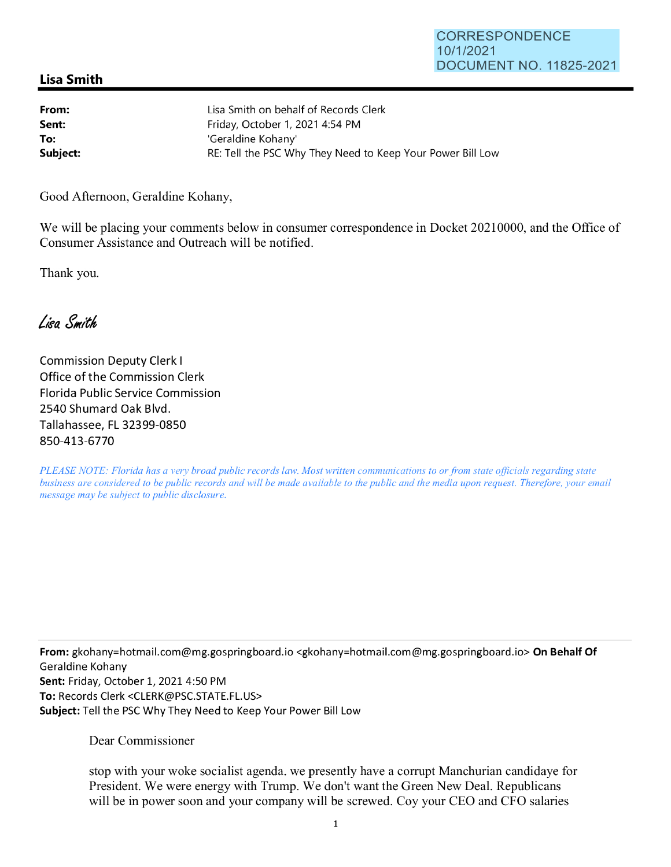## **Lisa Smith**

| From:    | Lisa Smith on behalf of Records Clerk                      |
|----------|------------------------------------------------------------|
| Sent:    | Friday, October 1, 2021 4:54 PM                            |
| To:      | 'Geraldine Kohany'                                         |
| Subject: | RE: Tell the PSC Why They Need to Keep Your Power Bill Low |

Good Afternoon, Geraldine Kohany,

We will be placing your comments below in consumer correspondence in Docket 20210000, and the Office of Consumer Assistance and Outreach will be notified.

Thank you.

Lisa Smith

Commission Deputy Clerk I Office of the Commission Clerk Florida Public Service Commission 2540 Shumard Oak Blvd. Tallahassee, FL 32399-0850 850-413-6770

*PLEASE NOTE: Florida has a very broad public records law. Most written communications to or from state officials regarding state business are considered to be public records and will be made available to the public and the media upon request. Therefore, your email message may be subject to public disclosure.* 

**From:** gkohany=hotmail.com@mg.gospringboard.io <gkohany=hotmail.com@mg.gospringboard.io> **On Behalf Of**  Geraldine Kohany **Sent:** Friday, October 1, 2021 4:50 PM **To:** Records Clerk <CLERK@PSC.STATE.FL.US> **Subject:** Tell the PSC Why They Need to Keep Your Power Bill Low

Dear Commissioner

stop with your woke socialist agenda. we presently have a corrupt Manchurian candidaye for President. We were energy with Trump. We don't want the Green New Deal. Republicans will be in power soon and your company will be screwed. Coy your CEO and CFO salaries